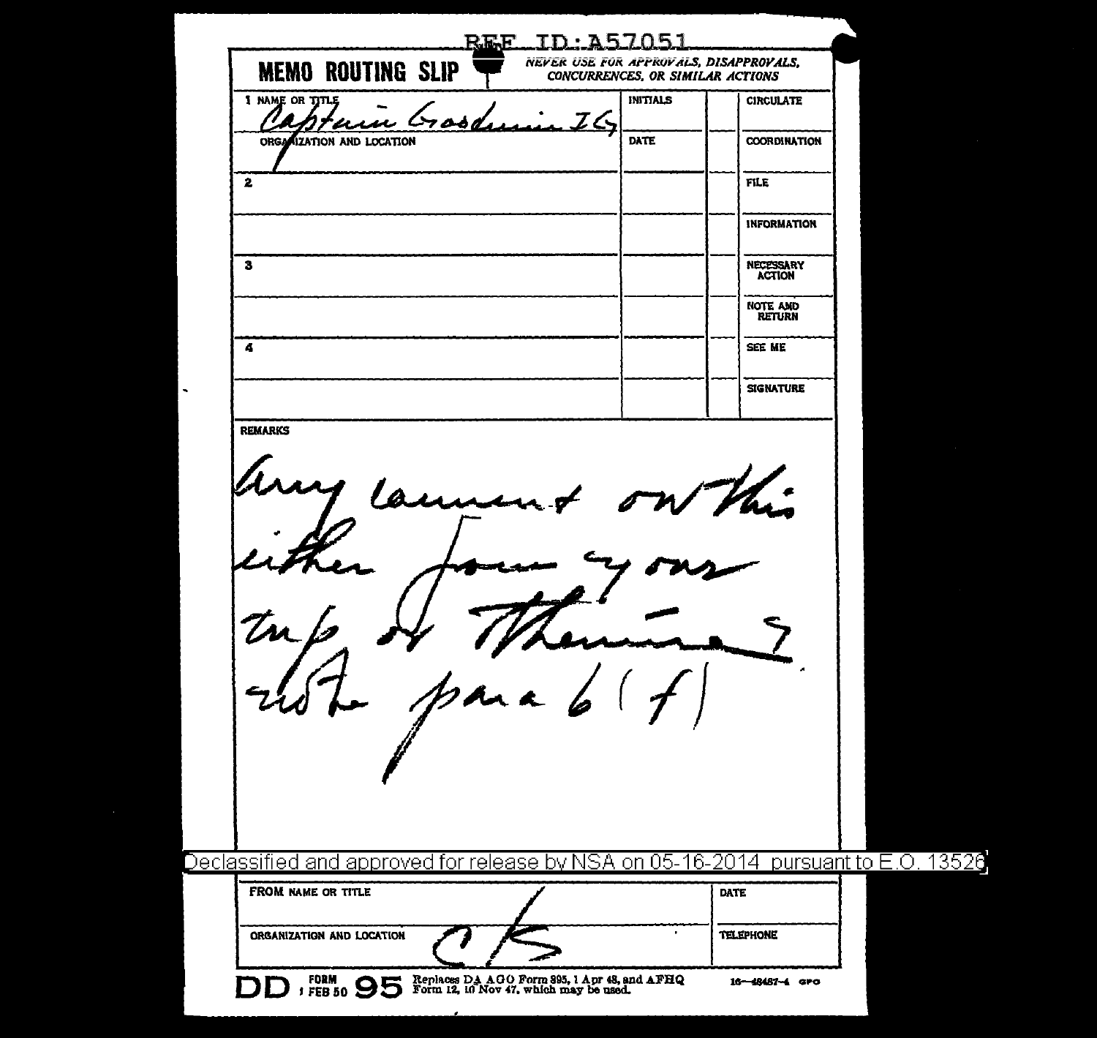| <b>MEMO ROUTING SLIP</b>                                                                                | <u>REE</u> | NEVER USE FOR APPROVALS, DISAPPROVALS,<br>CONCURRENCES, OR SIMILAR ACTIONS |                                  |  |
|---------------------------------------------------------------------------------------------------------|------------|----------------------------------------------------------------------------|----------------------------------|--|
| I NAME OR TITLE<br>'U                                                                                   |            | <b>INITIALS</b>                                                            | <b>CIRCULATE</b>                 |  |
| ORGANIZATION AND LOCATION                                                                               |            | DATE                                                                       | <b>COORDINATION</b>              |  |
| $\mathbf{z}$                                                                                            |            |                                                                            | <b>FILE</b>                      |  |
|                                                                                                         |            |                                                                            | <b>INFORMATION</b>               |  |
| 3                                                                                                       |            |                                                                            | NECESSARY<br><b>ACTION</b>       |  |
|                                                                                                         |            |                                                                            | <b>NOTE AND</b><br><b>RETURN</b> |  |
| 4                                                                                                       |            |                                                                            | SEE ME                           |  |
|                                                                                                         |            |                                                                            | <b>SIGNATURE</b>                 |  |
| <b>REMARKS</b>                                                                                          |            |                                                                            |                                  |  |
|                                                                                                         |            |                                                                            |                                  |  |
|                                                                                                         |            |                                                                            |                                  |  |
| Declassified and approved for release by NSA on 05-16-2014 pursuant to E.O. 13526<br>FROM NAME OR TITLE |            |                                                                            | DATE                             |  |